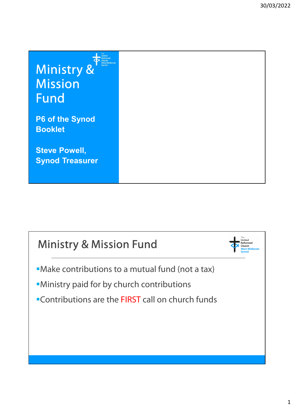Ministry & Mission Fund

P6 of the Synod Booklet

Steve Powell, Synod Treasurer

## Ministry & Mission Fund

- Make contributions to a mutual fund (not a tax)
- Ministry paid for by church contributions
- **Contributions are the FIRST call on church funds**

. . . .<br>United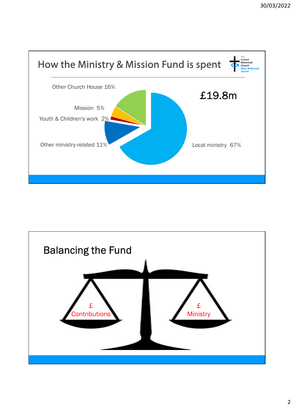

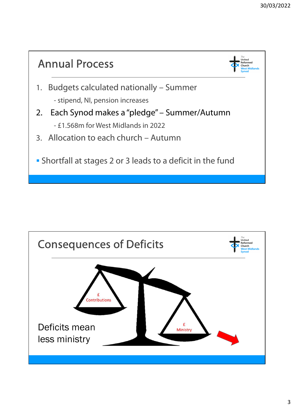

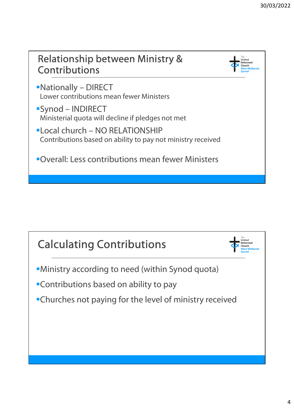

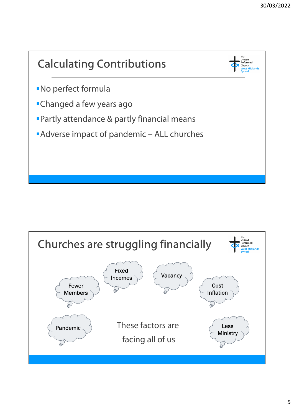

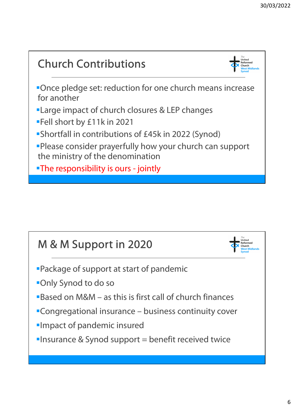## Church Contributions Once pledge set: reduction for one church means increase for another **-Large impact of church closures & LEP changes** Fell short by £11k in 2021 Shortfall in contributions of £45k in 2022 (Synod) Please consider prayerfully how your church can support the ministry of the denomination **EXECUTE:** Large Impact of church closures & LEP changes<br>
Fell short by £11k in 2021<br>
Shortfall in contributions of £45k in 2022 (Synoc<br>
Please consider prayerfully how your church car<br>
the ministry of the denomination<br>
Th